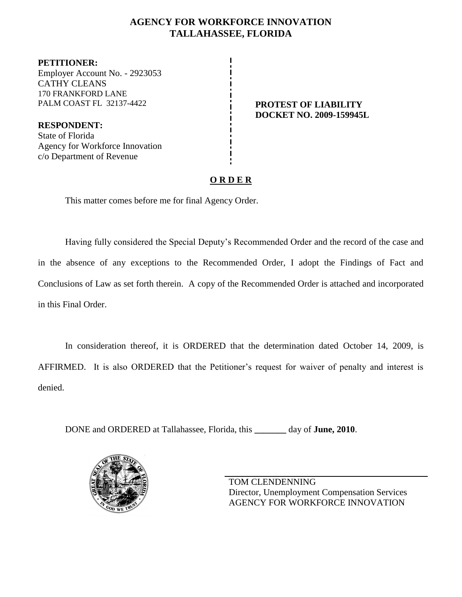# **AGENCY FOR WORKFORCE INNOVATION TALLAHASSEE, FLORIDA**

**PETITIONER:** Employer Account No. - 2923053 CATHY CLEANS 170 FRANKFORD LANE PALM COAST FL 32137-4422 **PROTEST OF LIABILITY** 

**RESPONDENT:** State of Florida Agency for Workforce Innovation c/o Department of Revenue

**DOCKET NO. 2009-159945L**

# **O R D E R**

This matter comes before me for final Agency Order.

Having fully considered the Special Deputy's Recommended Order and the record of the case and in the absence of any exceptions to the Recommended Order, I adopt the Findings of Fact and Conclusions of Law as set forth therein. A copy of the Recommended Order is attached and incorporated in this Final Order.

In consideration thereof, it is ORDERED that the determination dated October 14, 2009, is AFFIRMED. It is also ORDERED that the Petitioner's request for waiver of penalty and interest is denied.

DONE and ORDERED at Tallahassee, Florida, this **\_\_\_\_\_\_\_** day of **June, 2010**.



TOM CLENDENNING Director, Unemployment Compensation Services AGENCY FOR WORKFORCE INNOVATION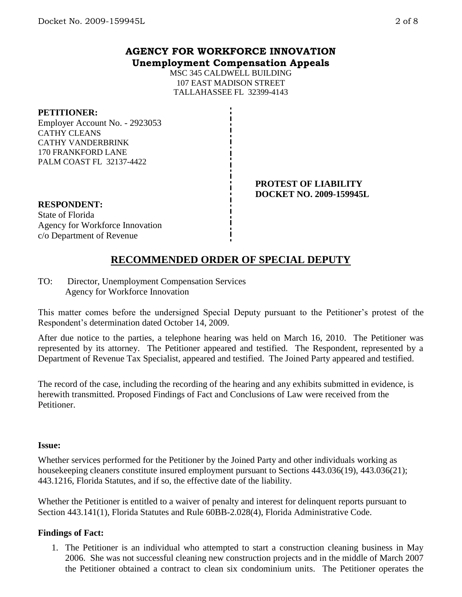## **AGENCY FOR WORKFORCE INNOVATION Unemployment Compensation Appeals**

MSC 345 CALDWELL BUILDING 107 EAST MADISON STREET TALLAHASSEE FL 32399-4143

#### **PETITIONER:**

Employer Account No. - 2923053 CATHY CLEANS CATHY VANDERBRINK 170 FRANKFORD LANE PALM COAST FL 32137-4422

#### **PROTEST OF LIABILITY DOCKET NO. 2009-159945L**

### **RESPONDENT:**

State of Florida Agency for Workforce Innovation c/o Department of Revenue

# **RECOMMENDED ORDER OF SPECIAL DEPUTY**

TO: Director, Unemployment Compensation Services Agency for Workforce Innovation

This matter comes before the undersigned Special Deputy pursuant to the Petitioner's protest of the Respondent's determination dated October 14, 2009.

After due notice to the parties, a telephone hearing was held on March 16, 2010. The Petitioner was represented by its attorney. The Petitioner appeared and testified. The Respondent, represented by a Department of Revenue Tax Specialist, appeared and testified. The Joined Party appeared and testified.

The record of the case, including the recording of the hearing and any exhibits submitted in evidence, is herewith transmitted. Proposed Findings of Fact and Conclusions of Law were received from the Petitioner.

#### **Issue:**

Whether services performed for the Petitioner by the Joined Party and other individuals working as housekeeping cleaners constitute insured employment pursuant to Sections 443.036(19), 443.036(21); 443.1216, Florida Statutes, and if so, the effective date of the liability.

Whether the Petitioner is entitled to a waiver of penalty and interest for delinquent reports pursuant to Section 443.141(1), Florida Statutes and Rule 60BB-2.028(4), Florida Administrative Code.

## **Findings of Fact:**

1. The Petitioner is an individual who attempted to start a construction cleaning business in May 2006. She was not successful cleaning new construction projects and in the middle of March 2007 the Petitioner obtained a contract to clean six condominium units. The Petitioner operates the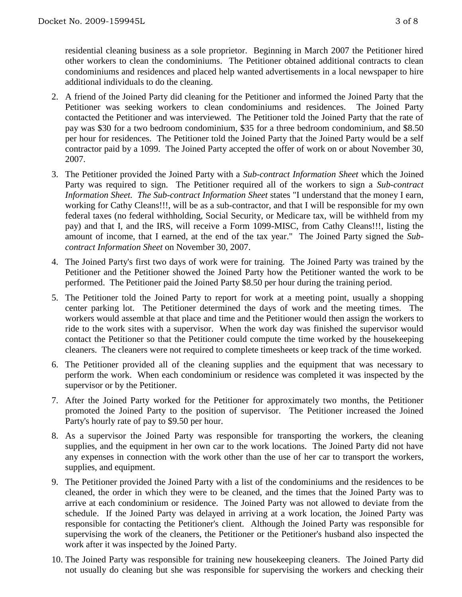residential cleaning business as a sole proprietor. Beginning in March 2007 the Petitioner hired other workers to clean the condominiums. The Petitioner obtained additional contracts to clean condominiums and residences and placed help wanted advertisements in a local newspaper to hire additional individuals to do the cleaning.

- 2. A friend of the Joined Party did cleaning for the Petitioner and informed the Joined Party that the Petitioner was seeking workers to clean condominiums and residences. The Joined Party contacted the Petitioner and was interviewed. The Petitioner told the Joined Party that the rate of pay was \$30 for a two bedroom condominium, \$35 for a three bedroom condominium, and \$8.50 per hour for residences. The Petitioner told the Joined Party that the Joined Party would be a self contractor paid by a 1099. The Joined Party accepted the offer of work on or about November 30, 2007.
- 3. The Petitioner provided the Joined Party with a *Sub-contract Information Sheet* which the Joined Party was required to sign. The Petitioner required all of the workers to sign a *Sub-contract Information Sheet. The Sub-contract Information Sheet states* "I understand that the money I earn, working for Cathy Cleans!!!, will be as a sub-contractor, and that I will be responsible for my own federal taxes (no federal withholding, Social Security, or Medicare tax, will be withheld from my pay) and that I, and the IRS, will receive a Form 1099-MISC, from Cathy Cleans!!!, listing the amount of income, that I earned, at the end of the tax year." The Joined Party signed the *Subcontract Information Sheet* on November 30, 2007.
- 4. The Joined Party's first two days of work were for training. The Joined Party was trained by the Petitioner and the Petitioner showed the Joined Party how the Petitioner wanted the work to be performed. The Petitioner paid the Joined Party \$8.50 per hour during the training period.
- 5. The Petitioner told the Joined Party to report for work at a meeting point, usually a shopping center parking lot. The Petitioner determined the days of work and the meeting times. The workers would assemble at that place and time and the Petitioner would then assign the workers to ride to the work sites with a supervisor. When the work day was finished the supervisor would contact the Petitioner so that the Petitioner could compute the time worked by the housekeeping cleaners. The cleaners were not required to complete timesheets or keep track of the time worked.
- 6. The Petitioner provided all of the cleaning supplies and the equipment that was necessary to perform the work. When each condominium or residence was completed it was inspected by the supervisor or by the Petitioner.
- 7. After the Joined Party worked for the Petitioner for approximately two months, the Petitioner promoted the Joined Party to the position of supervisor. The Petitioner increased the Joined Party's hourly rate of pay to \$9.50 per hour.
- 8. As a supervisor the Joined Party was responsible for transporting the workers, the cleaning supplies, and the equipment in her own car to the work locations. The Joined Party did not have any expenses in connection with the work other than the use of her car to transport the workers, supplies, and equipment.
- 9. The Petitioner provided the Joined Party with a list of the condominiums and the residences to be cleaned, the order in which they were to be cleaned, and the times that the Joined Party was to arrive at each condominium or residence. The Joined Party was not allowed to deviate from the schedule. If the Joined Party was delayed in arriving at a work location, the Joined Party was responsible for contacting the Petitioner's client. Although the Joined Party was responsible for supervising the work of the cleaners, the Petitioner or the Petitioner's husband also inspected the work after it was inspected by the Joined Party.
- 10. The Joined Party was responsible for training new housekeeping cleaners. The Joined Party did not usually do cleaning but she was responsible for supervising the workers and checking their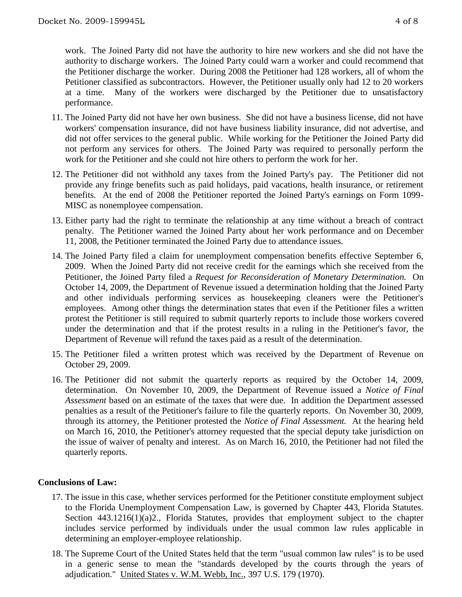work. The Joined Party did not have the authority to hire new workers and she did not have the authority to discharge workers. The Joined Party could warn a worker and could recommend that the Petitioner discharge the worker. During 2008 the Petitioner had 128 workers, all of whom the Petitioner classified as subcontractors. However, the Petitioner usually only had 12 to 20 workers at a time. Many of the workers were discharged by the Petitioner due to unsatisfactory performance.

- 11. The Joined Party did not have her own business. She did not have a business license, did not have workers' compensation insurance, did not have business liability insurance, did not advertise, and did not offer services to the general public. While working for the Petitioner the Joined Party did not perform any services for others. The Joined Party was required to personally perform the work for the Petitioner and she could not hire others to perform the work for her.
- 12. The Petitioner did not withhold any taxes from the Joined Party's pay. The Petitioner did not provide any fringe benefits such as paid holidays, paid vacations, health insurance, or retirement benefits. At the end of 2008 the Petitioner reported the Joined Party's earnings on Form 1099- MISC as nonemployee compensation.
- 13. Either party had the right to terminate the relationship at any time without a breach of contract penalty. The Petitioner warned the Joined Party about her work performance and on December 11, 2008, the Petitioner terminated the Joined Party due to attendance issues.
- 14. The Joined Party filed a claim for unemployment compensation benefits effective September 6, 2009. When the Joined Party did not receive credit for the earnings which she received from the Petitioner, the Joined Party filed a *Request for Reconsideration of Monetary Determination.* On October 14, 2009, the Department of Revenue issued a determination holding that the Joined Party and other individuals performing services as housekeeping cleaners were the Petitioner's employees. Among other things the determination states that even if the Petitioner files a written protest the Petitioner is still required to submit quarterly reports to include those workers covered under the determination and that if the protest results in a ruling in the Petitioner's favor, the Department of Revenue will refund the taxes paid as a result of the determination.
- 15. The Petitioner filed a written protest which was received by the Department of Revenue on October 29, 2009.
- 16. The Petitioner did not submit the quarterly reports as required by the October 14, 2009, determination. On November 10, 2009, the Department of Revenue issued a *Notice of Final Assessment* based on an estimate of the taxes that were due. In addition the Department assessed penalties as a result of the Petitioner's failure to file the quarterly reports. On November 30, 2009, through its attorney, the Petitioner protested the *Notice of Final Assessment.* At the hearing held on March 16, 2010, the Petitioner's attorney requested that the special deputy take jurisdiction on the issue of waiver of penalty and interest. As on March 16, 2010, the Petitioner had not filed the quarterly reports.

#### **Conclusions of Law:**

- 17. The issue in this case, whether services performed for the Petitioner constitute employment subject to the Florida Unemployment Compensation Law, is governed by Chapter 443, Florida Statutes. Section 443.1216(1)(a)2., Florida Statutes, provides that employment subject to the chapter includes service performed by individuals under the usual common law rules applicable in determining an employer-employee relationship.
- 18. The Supreme Court of the United States held that the term "usual common law rules" is to be used in a generic sense to mean the "standards developed by the courts through the years of adjudication." United States v. W.M. Webb, Inc., 397 U.S. 179 (1970).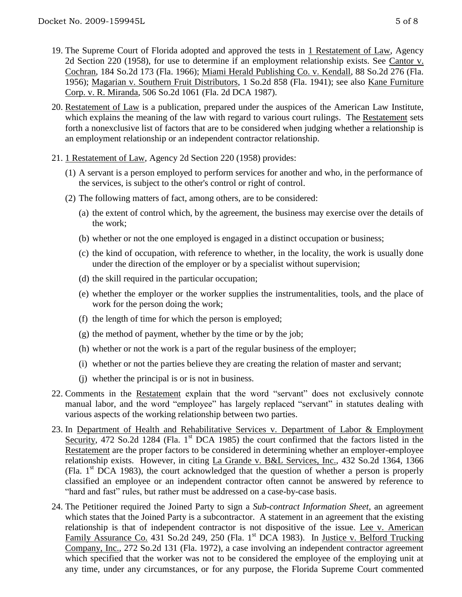- 19. The Supreme Court of Florida adopted and approved the tests in 1 Restatement of Law, Agency 2d Section 220 (1958), for use to determine if an employment relationship exists. See Cantor v. Cochran, 184 So.2d 173 (Fla. 1966); Miami Herald Publishing Co. v. Kendall, 88 So.2d 276 (Fla. 1956); Magarian v. Southern Fruit Distributors, 1 So.2d 858 (Fla. 1941); see also Kane Furniture Corp. v. R. Miranda, 506 So.2d 1061 (Fla. 2d DCA 1987).
- 20. Restatement of Law is a publication, prepared under the auspices of the American Law Institute, which explains the meaning of the law with regard to various court rulings. The Restatement sets forth a nonexclusive list of factors that are to be considered when judging whether a relationship is an employment relationship or an independent contractor relationship.
- 21. 1 Restatement of Law, Agency 2d Section 220 (1958) provides:
	- (1) A servant is a person employed to perform services for another and who, in the performance of the services, is subject to the other's control or right of control.
	- (2) The following matters of fact, among others, are to be considered:
		- (a) the extent of control which, by the agreement, the business may exercise over the details of the work;
		- (b) whether or not the one employed is engaged in a distinct occupation or business;
		- (c) the kind of occupation, with reference to whether, in the locality, the work is usually done under the direction of the employer or by a specialist without supervision;
		- (d) the skill required in the particular occupation;
		- (e) whether the employer or the worker supplies the instrumentalities, tools, and the place of work for the person doing the work;
		- (f) the length of time for which the person is employed;
		- (g) the method of payment, whether by the time or by the job;
		- (h) whether or not the work is a part of the regular business of the employer;
		- (i) whether or not the parties believe they are creating the relation of master and servant;
		- (j) whether the principal is or is not in business.
- 22. Comments in the Restatement explain that the word "servant" does not exclusively connote manual labor, and the word "employee" has largely replaced "servant" in statutes dealing with various aspects of the working relationship between two parties.
- 23. In Department of Health and Rehabilitative Services v. Department of Labor & Employment Security, 472 So.2d 1284 (Fla. 1<sup>st</sup> DCA 1985) the court confirmed that the factors listed in the Restatement are the proper factors to be considered in determining whether an employer-employee relationship exists. However, in citing La Grande v. B&L Services, Inc., 432 So.2d 1364, 1366 (Fla.  $1<sup>st</sup> DCA$  1983), the court acknowledged that the question of whether a person is properly classified an employee or an independent contractor often cannot be answered by reference to "hard and fast" rules, but rather must be addressed on a case-by-case basis.
- 24. The Petitioner required the Joined Party to sign a *Sub-contract Information Sheet,* an agreement which states that the Joined Party is a subcontractor. A statement in an agreement that the existing relationship is that of independent contractor is not dispositive of the issue. Lee v. American Family Assurance Co. 431 So.2d 249, 250 (Fla. 1<sup>st</sup> DCA 1983). In Justice v. Belford Trucking Company, Inc., 272 So.2d 131 (Fla. 1972), a case involving an independent contractor agreement which specified that the worker was not to be considered the employee of the employing unit at any time, under any circumstances, or for any purpose, the Florida Supreme Court commented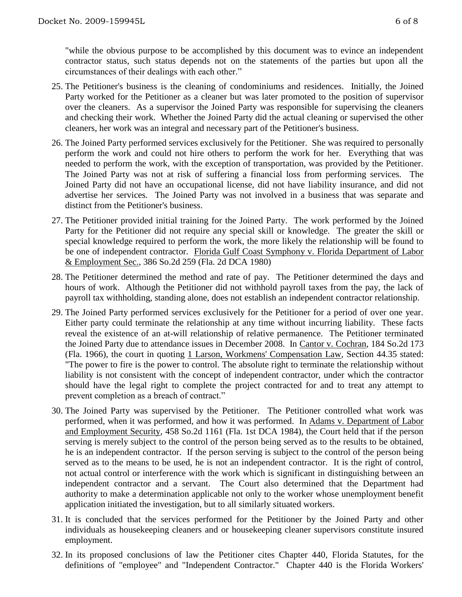"while the obvious purpose to be accomplished by this document was to evince an independent contractor status, such status depends not on the statements of the parties but upon all the circumstances of their dealings with each other."

- 25. The Petitioner's business is the cleaning of condominiums and residences. Initially, the Joined Party worked for the Petitioner as a cleaner but was later promoted to the position of supervisor over the cleaners. As a supervisor the Joined Party was responsible for supervising the cleaners and checking their work. Whether the Joined Party did the actual cleaning or supervised the other cleaners, her work was an integral and necessary part of the Petitioner's business.
- 26. The Joined Party performed services exclusively for the Petitioner. She was required to personally perform the work and could not hire others to perform the work for her. Everything that was needed to perform the work, with the exception of transportation, was provided by the Petitioner. The Joined Party was not at risk of suffering a financial loss from performing services. The Joined Party did not have an occupational license, did not have liability insurance, and did not advertise her services. The Joined Party was not involved in a business that was separate and distinct from the Petitioner's business.
- 27. The Petitioner provided initial training for the Joined Party. The work performed by the Joined Party for the Petitioner did not require any special skill or knowledge. The greater the skill or special knowledge required to perform the work, the more likely the relationship will be found to be one of independent contractor. Florida Gulf Coast Symphony v. Florida Department of Labor & Employment Sec., 386 So.2d 259 (Fla. 2d DCA 1980)
- 28. The Petitioner determined the method and rate of pay. The Petitioner determined the days and hours of work. Although the Petitioner did not withhold payroll taxes from the pay, the lack of payroll tax withholding, standing alone, does not establish an independent contractor relationship.
- 29. The Joined Party performed services exclusively for the Petitioner for a period of over one year. Either party could terminate the relationship at any time without incurring liability. These facts reveal the existence of an at-will relationship of relative permanence. The Petitioner terminated the Joined Party due to attendance issues in December 2008. In Cantor v. Cochran, 184 So.2d 173 (Fla. 1966), the court in quoting 1 Larson, Workmens' Compensation Law, Section 44.35 stated: "The power to fire is the power to control. The absolute right to terminate the relationship without liability is not consistent with the concept of independent contractor, under which the contractor should have the legal right to complete the project contracted for and to treat any attempt to prevent completion as a breach of contract."
- 30. The Joined Party was supervised by the Petitioner. The Petitioner controlled what work was performed, when it was performed, and how it was performed. In Adams v. Department of Labor and Employment Security, 458 So.2d 1161 (Fla. 1st DCA 1984), the Court held that if the person serving is merely subject to the control of the person being served as to the results to be obtained, he is an independent contractor. If the person serving is subject to the control of the person being served as to the means to be used, he is not an independent contractor. It is the right of control, not actual control or interference with the work which is significant in distinguishing between an independent contractor and a servant. The Court also determined that the Department had authority to make a determination applicable not only to the worker whose unemployment benefit application initiated the investigation, but to all similarly situated workers.
- 31. It is concluded that the services performed for the Petitioner by the Joined Party and other individuals as housekeeping cleaners and or housekeeping cleaner supervisors constitute insured employment.
- 32. In its proposed conclusions of law the Petitioner cites Chapter 440, Florida Statutes, for the definitions of "employee" and "Independent Contractor." Chapter 440 is the Florida Workers'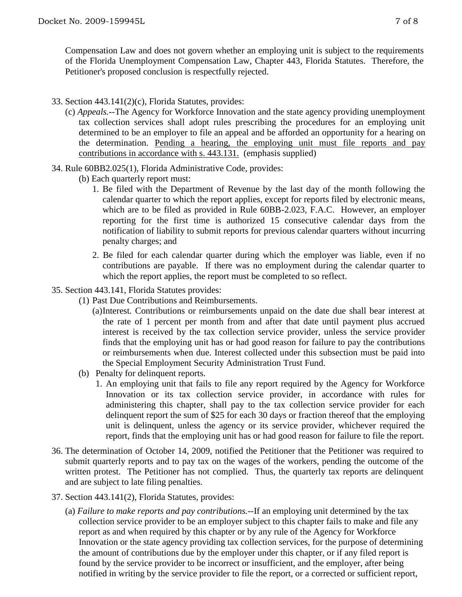Compensation Law and does not govern whether an employing unit is subject to the requirements of the Florida Unemployment Compensation Law, Chapter 443, Florida Statutes. Therefore, the Petitioner's proposed conclusion is respectfully rejected.

- 33. Section 443.141(2)(c), Florida Statutes, provides:
	- (c) *Appeals.*--The Agency for Workforce Innovation and the state agency providing unemployment tax collection services shall adopt rules prescribing the procedures for an employing unit determined to be an employer to file an appeal and be afforded an opportunity for a hearing on the determination. Pending a hearing, the employing unit must file reports and pay contributions in accordance with s. 443.131. (emphasis supplied)
- 34. Rule 60BB2.025(1), Florida Administrative Code, provides:
	- (b) Each quarterly report must:
		- 1. Be filed with the Department of Revenue by the last day of the month following the calendar quarter to which the report applies, except for reports filed by electronic means, which are to be filed as provided in Rule 60BB-2.023, F.A.C. However, an employer reporting for the first time is authorized 15 consecutive calendar days from the notification of liability to submit reports for previous calendar quarters without incurring penalty charges; and
		- 2. Be filed for each calendar quarter during which the employer was liable, even if no contributions are payable. If there was no employment during the calendar quarter to which the report applies, the report must be completed to so reflect.
- 35. Section 443.141, Florida Statutes provides:
	- (1) Past Due Contributions and Reimbursements.
		- (a)Interest*.* Contributions or reimbursements unpaid on the date due shall bear interest at the rate of 1 percent per month from and after that date until payment plus accrued interest is received by the tax collection service provider, unless the service provider finds that the employing unit has or had good reason for failure to pay the contributions or reimbursements when due. Interest collected under this subsection must be paid into the Special Employment Security Administration Trust Fund.
	- (b) Penalty for delinquent reports.
		- 1. An employing unit that fails to file any report required by the Agency for Workforce Innovation or its tax collection service provider, in accordance with rules for administering this chapter, shall pay to the tax collection service provider for each delinquent report the sum of \$25 for each 30 days or fraction thereof that the employing unit is delinquent, unless the agency or its service provider, whichever required the report, finds that the employing unit has or had good reason for failure to file the report.
- 36. The determination of October 14, 2009, notified the Petitioner that the Petitioner was required to submit quarterly reports and to pay tax on the wages of the workers, pending the outcome of the written protest. The Petitioner has not complied. Thus, the quarterly tax reports are delinquent and are subject to late filing penalties.
- 37. Section 443.141(2), Florida Statutes, provides:
	- (a) *Failure to make reports and pay contributions.*--If an employing unit determined by the tax collection service provider to be an employer subject to this chapter fails to make and file any report as and when required by this chapter or by any rule of the Agency for Workforce Innovation or the state agency providing tax collection services, for the purpose of determining the amount of contributions due by the employer under this chapter, or if any filed report is found by the service provider to be incorrect or insufficient, and the employer, after being notified in writing by the service provider to file the report, or a corrected or sufficient report,